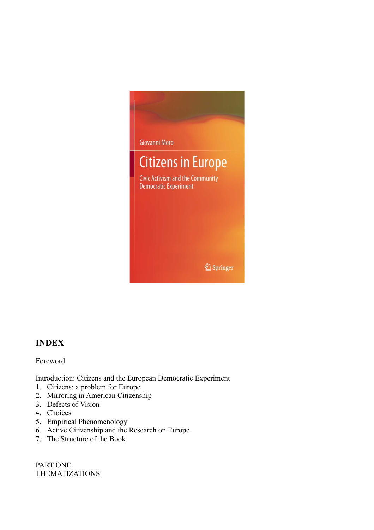

## **INDEX**

Foreword

Introduction: Citizens and the European Democratic Experiment

- 1. Citizens: a problem for Europe
- 2. Mirroring in American Citizenship
- 3. Defects of Vision
- 4. Choices
- 5. Empirical Phenomenology
- 6. Active Citizenship and the Research on Europe
- 7. The Structure of the Book

PART ONE THEMATIZATIONS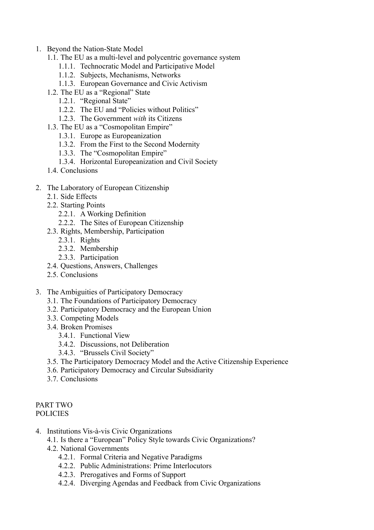- 1. Beyond the Nation-State Model
	- 1.1. The EU as a multi-level and polycentric governance system
		- 1.1.1. Technocratic Model and Participative Model
		- 1.1.2. Subjects, Mechanisms, Networks
		- 1.1.3. European Governance and Civic Activism
	- 1.2. The EU as a "Regional" State
		- 1.2.1. "Regional State"
		- 1.2.2. The EU and "Policies without Politics"
		- 1.2.3. The Government *with* its Citizens
	- 1.3. The EU as a "Cosmopolitan Empire"
		- 1.3.1. Europe as Europeanization
		- 1.3.2. From the First to the Second Modernity
		- 1.3.3. The "Cosmopolitan Empire"
		- 1.3.4. Horizontal Europeanization and Civil Society
	- 1.4 Conclusions
- 2. The Laboratory of European Citizenship
	- 2.1. Side Effects
	- 2.2. Starting Points
		- 2.2.1. A Working Definition
		- 2.2.2. The Sites of European Citizenship
	- 2.3. Rights, Membership, Participation
		- $2.3.1.$  Rights
		- 2.3.2. Membership
		- 2.3.3. Participation
	- 2.4. Questions, Answers, Challenges
	- 2.5. Conclusions
- 3. The Ambiguities of Participatory Democracy
	- 3.1. The Foundations of Participatory Democracy
	- 3.2. Participatory Democracy and the European Union
	- 3.3. Competing Models
	- 3.4. Broken Promises
		- 3.4.1. Functional View
		- 3.4.2. Discussions, not Deliberation
		- 3.4.3. "Brussels Civil Society"
	- 3.5. The Participatory Democracy Model and the Active Citizenship Experience
	- 3.6. Participatory Democracy and Circular Subsidiarity
	- 3.7. Conclusions

## PART TWO POLICIES

- 4. Institutions Vis-à-vis Civic Organizations
	- 4.1. Is there a "European" Policy Style towards Civic Organizations?
	- 4.2. National Governments
		- 4.2.1. Formal Criteria and Negative Paradigms
		- 4.2.2. Public Administrations: Prime Interlocutors
		- 4.2.3. Prerogatives and Forms of Support
		- 4.2.4. Diverging Agendas and Feedback from Civic Organizations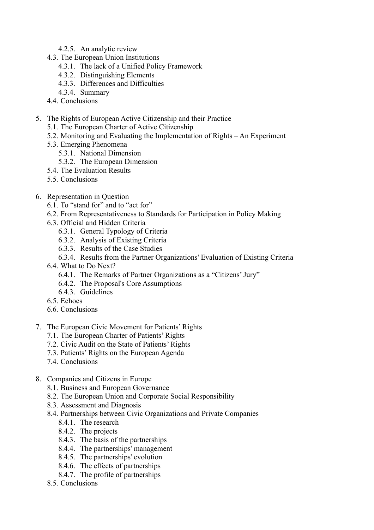- 4.2.5. An analytic review
- 4.3. The European Union Institutions
	- 4.3.1. The lack of a Unified Policy Framework
	- 4.3.2. Distinguishing Elements
	- 4.3.3. Differences and Difficulties
	- 4.3.4. Summary
- 4.4 Conclusions
- 5. The Rights of European Active Citizenship and their Practice
	- 5.1. The European Charter of Active Citizenship
	- 5.2. Monitoring and Evaluating the Implementation of Rights An Experiment
	- 5.3. Emerging Phenomena
		- 5.3.1. National Dimension
		- 5.3.2. The European Dimension
	- 5.4. The Evaluation Results
	- 5.5. Conclusions
- 6. Representation in Question
	- 6.1. To "stand for" and to "act for"
	- 6.2. From Representativeness to Standards for Participation in Policy Making
	- 6.3. Official and Hidden Criteria
		- 6.3.1. General Typology of Criteria
		- 6.3.2. Analysis of Existing Criteria
		- 6.3.3. Results of the Case Studies
		- 6.3.4. Results from the Partner Organizations' Evaluation of Existing Criteria
	- 6.4. What to Do Next?
		- 6.4.1. The Remarks of Partner Organizations as a "Citizens' Jury"
		- 6.4.2. The Proposal's Core Assumptions
		- 6.4.3. Guidelines
	- 6.5. Echoes
	- 6.6. Conclusions
- 7. The European Civic Movement for Patients' Rights
	- 7.1. The European Charter of Patients' Rights
	- 7.2. Civic Audit on the State of Patients' Rights
	- 7.3. Patients' Rights on the European Agenda
	- 7.4. Conclusions
- 8. Companies and Citizens in Europe
	- 8.1. Business and European Governance
	- 8.2. The European Union and Corporate Social Responsibility
	- 8.3. Assessment and Diagnosis
	- 8.4. Partnerships between Civic Organizations and Private Companies
		- 8.4.1 The research
		- 8.4.2. The projects
		- 8.4.3. The basis of the partnerships
		- 8.4.4. The partnerships' management
		- 8.4.5. The partnerships' evolution
		- 8.4.6. The effects of partnerships
		- 8.4.7. The profile of partnerships
	- 8.5. Conclusions